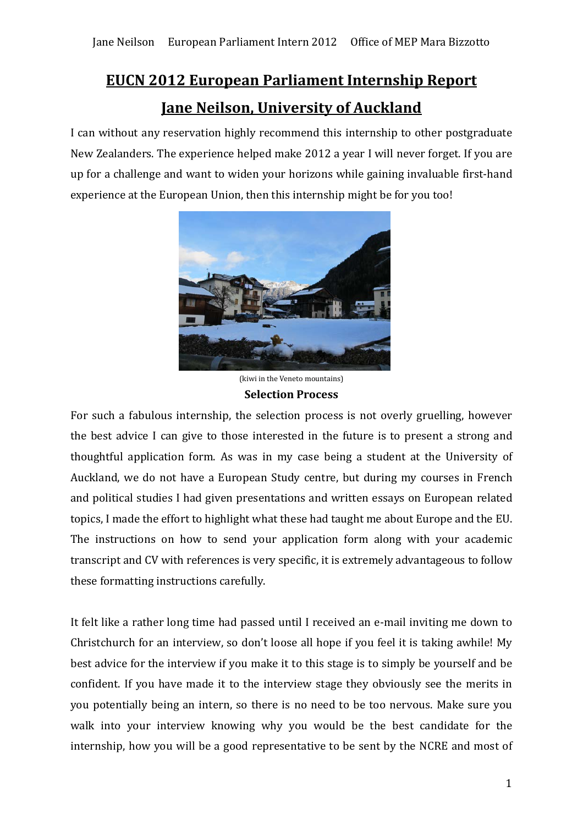# **EUCN 2012 European Parliament Internship Report Jane Neilson, University of Auckland**

I can without any reservation highly recommend this internship to other postgraduate New Zealanders. The experience helped make 2012 a year I will never forget. If you are up for a challenge and want to widen your horizons while gaining invaluable first-hand experience at the European Union, then this internship might be for you too!



(kiwi in the Veneto mountains) **Selection Process** 

For such a fabulous internship, the selection process is not overly gruelling, however the best advice I can give to those interested in the future is to present a strong and thoughtful application form. As was in my case being a student at the University of Auckland, we do not have a European Study centre, but during my courses in French and political studies I had given presentations and written essays on European related topics, I made the effort to highlight what these had taught me about Europe and the EU. The instructions on how to send your application form along with your academic transcript and CV with references is very specific, it is extremely advantageous to follow these formatting instructions carefully.

It felt like a rather long time had passed until I received an e-mail inviting me down to Christchurch for an interview, so don't loose all hope if you feel it is taking awhile! My best advice for the interview if you make it to this stage is to simply be yourself and be confident. If you have made it to the interview stage they obviously see the merits in you potentially being an intern, so there is no need to be too nervous. Make sure you walk into your interview knowing why you would be the best candidate for the internship, how you will be a good representative to be sent by the NCRE and most of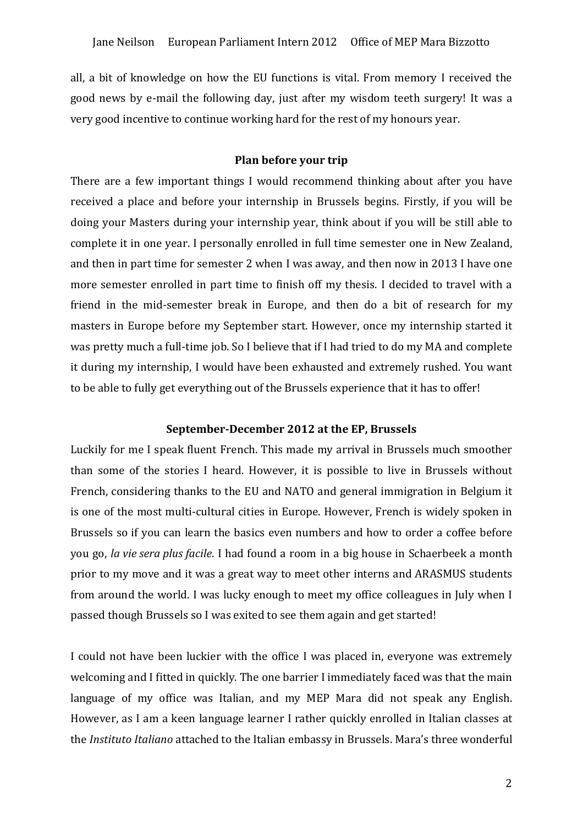all, a bit of knowledge on how the EU functions is vital. From memory I received the good news by e-mail the following day, just after my wisdom teeth surgery! It was a very good incentive to continue working hard for the rest of my honours year.

## **Plan before your trip**

There are a few important things I would recommend thinking about after you have received a place and before your internship in Brussels begins. Firstly, if you will be doing your Masters during your internship year, think about if you will be still able to complete it in one year. I personally enrolled in full time semester one in New Zealand, and then in part time for semester 2 when I was away, and then now in 2013 I have one more semester enrolled in part time to finish off my thesis. I decided to travel with a friend in the mid-semester break in Europe, and then do a bit of research for my masters in Europe before my September start. However, once my internship started it was pretty much a full-time job. So I believe that if I had tried to do my MA and complete it during my internship, I would have been exhausted and extremely rushed. You want to be able to fully get everything out of the Brussels experience that it has to offer!

## **September-December 2012 at the EP, Brussels**

Luckily for me I speak fluent French. This made my arrival in Brussels much smoother than some of the stories I heard. However, it is possible to live in Brussels without French, considering thanks to the EU and NATO and general immigration in Belgium it is one of the most multi-cultural cities in Europe. However, French is widely spoken in Brussels so if you can learn the basics even numbers and how to order a coffee before you go, *la vie sera plus facile*. I had found a room in a big house in Schaerbeek a month prior to my move and it was a great way to meet other interns and ARASMUS students from around the world. I was lucky enough to meet my office colleagues in July when I passed though Brussels so I was exited to see them again and get started!

I could not have been luckier with the office I was placed in, everyone was extremely welcoming and I fitted in quickly. The one barrier I immediately faced was that the main language of my office was Italian, and my MEP Mara did not speak any English. However, as I am a keen language learner I rather quickly enrolled in Italian classes at the *Instituto Italiano* attached to the Italian embassy in Brussels. Mara's three wonderful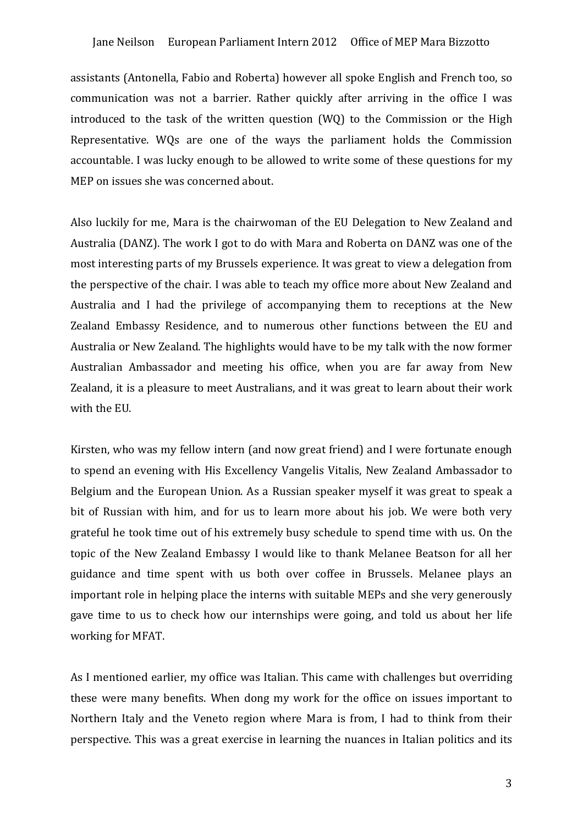#### Jane Neilson European Parliament Intern 2012 Office of MEP Mara Bizzotto

assistants (Antonella, Fabio and Roberta) however all spoke English and French too, so communication was not a barrier. Rather quickly after arriving in the office I was introduced to the task of the written question (WQ) to the Commission or the High Representative. WQs are one of the ways the parliament holds the Commission accountable. I was lucky enough to be allowed to write some of these questions for my MEP on issues she was concerned about.

Also luckily for me, Mara is the chairwoman of the EU Delegation to New Zealand and Australia (DANZ). The work I got to do with Mara and Roberta on DANZ was one of the most interesting parts of my Brussels experience. It was great to view a delegation from the perspective of the chair. I was able to teach my office more about New Zealand and Australia and I had the privilege of accompanying them to receptions at the New Zealand Embassy Residence, and to numerous other functions between the EU and Australia or New Zealand. The highlights would have to be my talk with the now former Australian Ambassador and meeting his office, when you are far away from New Zealand, it is a pleasure to meet Australians, and it was great to learn about their work with the EU.

Kirsten, who was my fellow intern (and now great friend) and I were fortunate enough to spend an evening with His Excellency Vangelis Vitalis, New Zealand Ambassador to Belgium and the European Union. As a Russian speaker myself it was great to speak a bit of Russian with him, and for us to learn more about his job. We were both very grateful he took time out of his extremely busy schedule to spend time with us. On the topic of the New Zealand Embassy I would like to thank Melanee Beatson for all her guidance and time spent with us both over coffee in Brussels. Melanee plays an important role in helping place the interns with suitable MEPs and she very generously gave time to us to check how our internships were going, and told us about her life working for MFAT.

As I mentioned earlier, my office was Italian. This came with challenges but overriding these were many benefits. When dong my work for the office on issues important to Northern Italy and the Veneto region where Mara is from, I had to think from their perspective. This was a great exercise in learning the nuances in Italian politics and its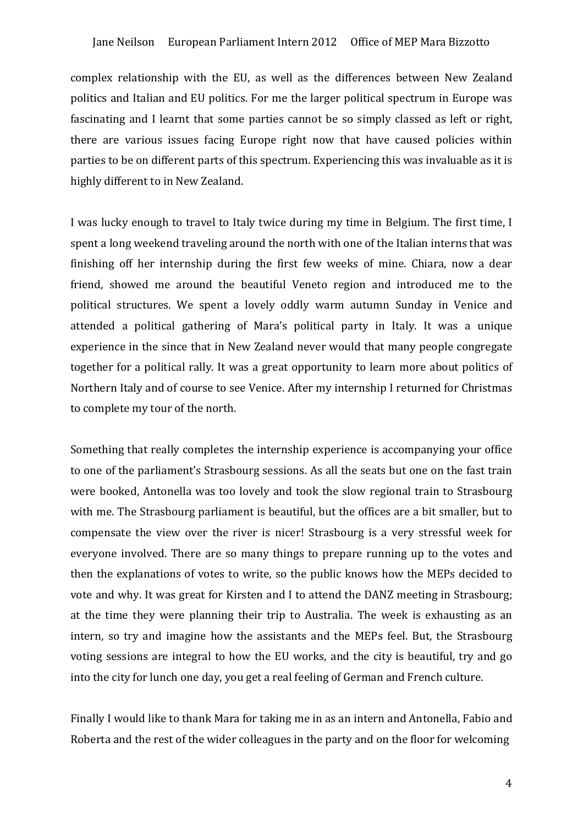#### Jane Neilson European Parliament Intern 2012 Office of MEP Mara Bizzotto

complex relationship with the EU, as well as the differences between New Zealand politics and Italian and EU politics. For me the larger political spectrum in Europe was fascinating and I learnt that some parties cannot be so simply classed as left or right, there are various issues facing Europe right now that have caused policies within parties to be on different parts of this spectrum. Experiencing this was invaluable as it is highly different to in New Zealand.

I was lucky enough to travel to Italy twice during my time in Belgium. The first time, I spent a long weekend traveling around the north with one of the Italian interns that was finishing off her internship during the first few weeks of mine. Chiara, now a dear friend, showed me around the beautiful Veneto region and introduced me to the political structures. We spent a lovely oddly warm autumn Sunday in Venice and attended a political gathering of Mara's political party in Italy. It was a unique experience in the since that in New Zealand never would that many people congregate together for a political rally. It was a great opportunity to learn more about politics of Northern Italy and of course to see Venice. After my internship I returned for Christmas to complete my tour of the north.

Something that really completes the internship experience is accompanying your office to one of the parliament's Strasbourg sessions. As all the seats but one on the fast train were booked, Antonella was too lovely and took the slow regional train to Strasbourg with me. The Strasbourg parliament is beautiful, but the offices are a bit smaller, but to compensate the view over the river is nicer! Strasbourg is a very stressful week for everyone involved. There are so many things to prepare running up to the votes and then the explanations of votes to write, so the public knows how the MEPs decided to vote and why. It was great for Kirsten and I to attend the DANZ meeting in Strasbourg; at the time they were planning their trip to Australia. The week is exhausting as an intern, so try and imagine how the assistants and the MEPs feel. But, the Strasbourg voting sessions are integral to how the EU works, and the city is beautiful, try and go into the city for lunch one day, you get a real feeling of German and French culture.

Finally I would like to thank Mara for taking me in as an intern and Antonella, Fabio and Roberta and the rest of the wider colleagues in the party and on the floor for welcoming